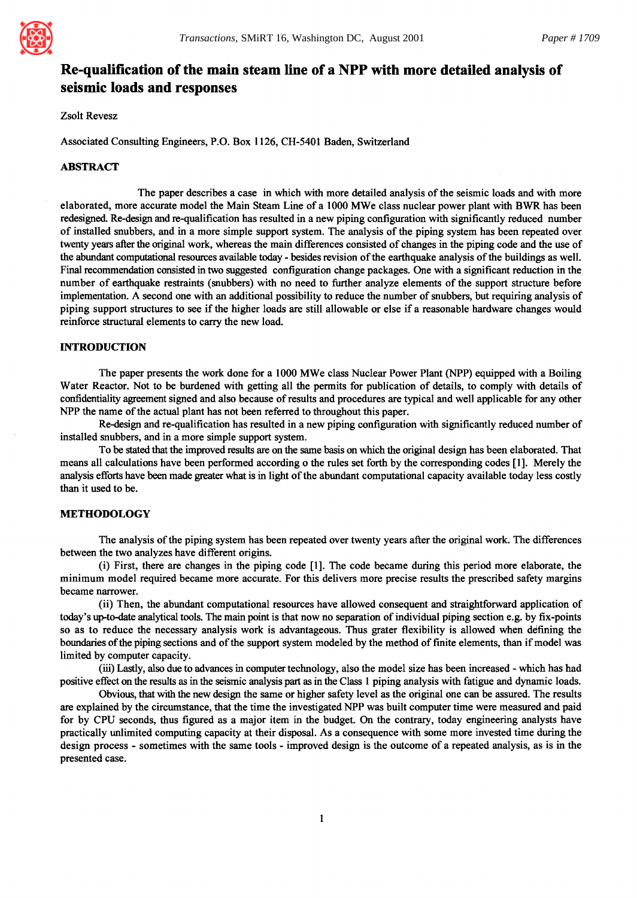

# **Re-qualification of the main steam line of a NPP with more detailed analysis of seismic loads and responses**

Zsolt Revesz

Associated Consulting Engineers, P.O. Box 1126, CH-5401 Baden, Switzerland

#### ABSTRACT

The paper describes a case in which with more detailed analysis of the seismic loads and with more elaborated, more accurate model the Main Steam Line of a 1000 MWe class nuclear power plant with BWR has been redesigned. Re-design and re-qualification has resulted in a new piping configuration with significantly reduced number of installed snubbers, and in a more simple support system. The analysis of the piping system has been repeated over twenty years after the original work, whereas the main differences consisted of changes in the piping code and the use of the abundant computational resources available today - besides revision of the earthquake analysis of the buildings as well. Final recommendation consisted in two suggested configuration change packages. One with a significant reduction in the number of earthquake restraints (snubbers) with no need to further analyze elements of the support structure before implementation. A second one with an additional possibility to reduce the number of snubbers, but requiring analysis of piping support structures to see if the higher loads are still allowable or else if a reasonable hardware changes would reinforce structural elements to carry the new load.

## **INTRODUCTION**

The paper presents the work done for a 1000 MWe class Nuclear Power Plant (NPP) equipped with a Boiling Water Reactor. Not to be burdened with getting all the permits for publication of details, to comply with details of confidentiality agreement signed and also because of results and procedures are typical and well applicable for any other NPP the name of the actual plant has not been referred to throughout this paper.

Re-design and re-qualification has resulted in a new piping configuration with significantly reduced number of installed snubbers, and in a more simple support system.

To be stated that the improved results are on the same basis on which the original design has been elaborated. That means all calculations have been performed according o the rules set forth by the corresponding codes [1 ]. Merely the analysis efforts have been made greater what is in light of the abundant computational capacity available today less costly than it used to be.

## METHODOLOGY

The analysis of the piping system has been repeated over twenty years after the original work. The differences between the two analyzes have different origins.

(i) First, there are changes in the piping code [1 ]. The code became during this period more elaborate, the minimum model required became more accurate. For this delivers more precise results the prescribed safety margins became narrower.

(ii) Then, the abundant computational resources have allowed consequent and straightforward application of today's up-to-date analytical tools. The main point is that now no separation of individual piping section e.g. by fix-points so as to reduce the necessary analysis work is advantageous. Thus grater flexibility is allowed when defining the boundaries of the piping sections and of the support system modeled by the method of finite elements, than if model was limited by computer capacity.

(iii) Lastly, also due to advances in computer technology, also the model size has been increased - which has had positive effect on the results as in the seismic analysis part as in the Class 1 piping analysis with fatigue and dynamic loads.

Obvious, that with the new design the same or higher safety level as the original one can be assured. The results are explained by the circumstance, that the time the investigated NPP was built computer time were measured and paid for by CPU seconds, thus figured as a major item in the budget. On the contrary, today engineering analysts have practically unlimited computing capacity at their disposal. As a consequence with some more invested time during the design process - sometimes with the same tools - improved design is the outcome of a repeated analysis, as is in the presented case.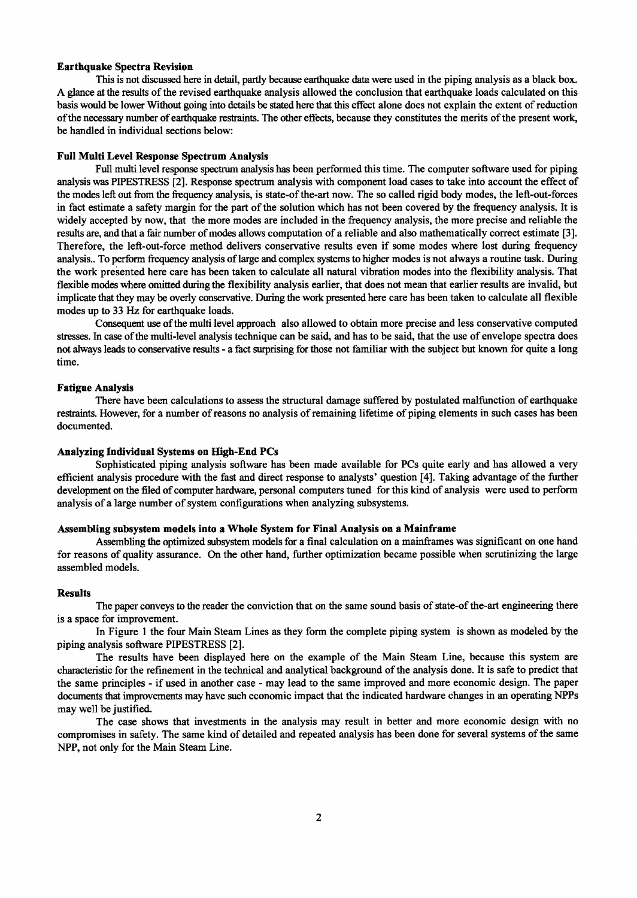## **Earthquake Spectra Revision**

This is not discussed here in detail, partly because earthquake data were used in the piping analysis as a black box. A glance at the results of the revised earthquake analysis allowed the conclusion that earthquake loads calculated on this basis would be lower Without going into details be stated here that this effect alone does not explain the extent of reduction of the necessary number of earthquake restraints. The other effects, because they constitutes the merits of the present work, be handled in individual sections below:

## **Full Multi Level Response Spectrum Analysis**

Full multi level response spectrum analysis has been performed this time. The computer software used for piping analysis was PIPESTRESS [2]. Response spectrum analysis with component load cases to take into account the effect of the modes left out from the frequency analysis, is state-of the-art now. The so called rigid body modes, the left-out-forces in fact estimate a safety margin for the part of the solution which has not been covered by the frequency analysis. It is widely accepted by now, that the more modes are included in the frequency analysis, the more precise and reliable the results are, and that a fair number of modes allows computation of a reliable and also mathematically correct estimate [3]. Therefore, the left-out-force method delivers conservative results even if some modes where lost during frequency analysis.. To perform frequency analysis of large and complex systems to higher modes is not always a routine task. During the work presented here care has been taken to calculate all natural vibration modes into the flexibility analysis. That flexible modes where omitted during the flexibility analysis earlier, that does not mean that earlier results are invalid, but implicate that they may be overly conservative. During the work presented here care has been taken to calculate all flexible modes up to 33 Hz for earthquake loads.

Consequent use of the multi level approach also allowed to obtain more precise and less conservative computed stresses. In case of the multi-level analysis technique can be said, and has to be said, that the use of envelope spectra does not always leads to conservative results - a fact surprising for those not familiar with the subject but known for quite a long time.

## **Fatigue Analysis**

There have been calculations to assess the structural damage suffered by postulated malfunction of earthquake restraints. However, for a number of reasons no analysis of remaining lifetime of piping elements in such cases has been documented.

## **Analyzing Individual Systems on High-End PCs**

Sophisticated piping analysis software has been made available for PCs quite early and has allowed a very efficient analysis procedure with the fast and direct response to analysts' question [4]. Taking advantage of the further development on the filed of computer hardware, personal computers tuned for this kind of analysis were used to perform analysis of a large number of system configurations when analyzing subsystems.

## **Assembling subsystem models into** a Whole **System for Final Analysis on a Mainframe**

Assembling the optimized subsystem models for a final calculation on a mainframes was significant on one hand for reasons of quality assurance. On the other hand, further optimization became possible when scrutinizing the large assembled models.

## **Results**

The paper conveys to the reader the conviction that on the same sound basis of state-of the-art engineering there is a space for improvement.

In Figure 1 the four Main Steam Lines as they form the complete piping system is shown as modeied by the piping analysis software PIPESTRESS [2].

The results have been displayed here on the example of the Main Steam Line, because this system are characteristic for the ref'mement in the technical and analytical background of the analysis done. It is safe to predict that the same principles - if used in another case - may lead to the same improved and more economic design. The paper documents that improvements may have such economic impact that the indicated hardware changes in an operating NPPs may well be justified.

The case shows that investments in the analysis may result in better and more economic design with no compromises in safety. The same kind of detailed and repeated analysis has been done for several systems of the same NPP, not only for the Main Steam Line.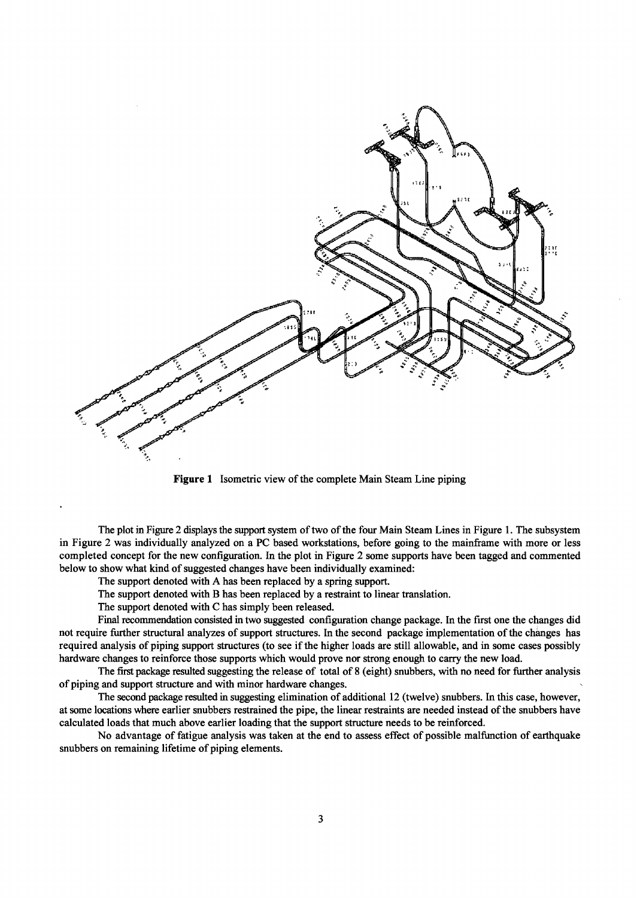

Figure I Isometric view of the complete Main Steam Line piping

The plot in Figure 2 displays the support system of two of the four Main Steam Lines in Figure 1. The subsystem in Figure 2 was individually analyzed on a PC based workstations, before going to the mainframe with more or less completed concept for the new configuration. In the plot in Figure 2 some supports have been tagged and commented below to show what kind of suggested changes have been individually examined:

The support denoted with A has been replaced by a spring support.

The support denoted with B has been replaced by a restraint to linear translation.

The support denoted with C has simply been released.

Final recommendation consisted in two suggested configuration change package. In the first one the changes did not require further structural analyzes of support structures. In the second package implementation of the changes has required analysis of piping support structures (to see if the higher loads are still allowable, and in some cases possibly hardware changes to reinforce those supports which would prove nor strong enough to carry the new load.

The first package resulted suggesting the release of total of 8 (eight) snubbers, with no need for further analysis of piping and support structure and with minor hardware changes.

The second package resulted in suggesting elimination of additional 12 (twelve) snubbers. In this case, however, at some locations where earlier snubbers restrained the pipe, the linear restraints are needed instead of the snubbers have calculated loads that much above earlier loading that the support structure needs to be reinforced.

No advantage of fatigue analysis was taken at the end to assess effect of possible malfunction of earthquake snubbers on remaining lifetime of piping elements.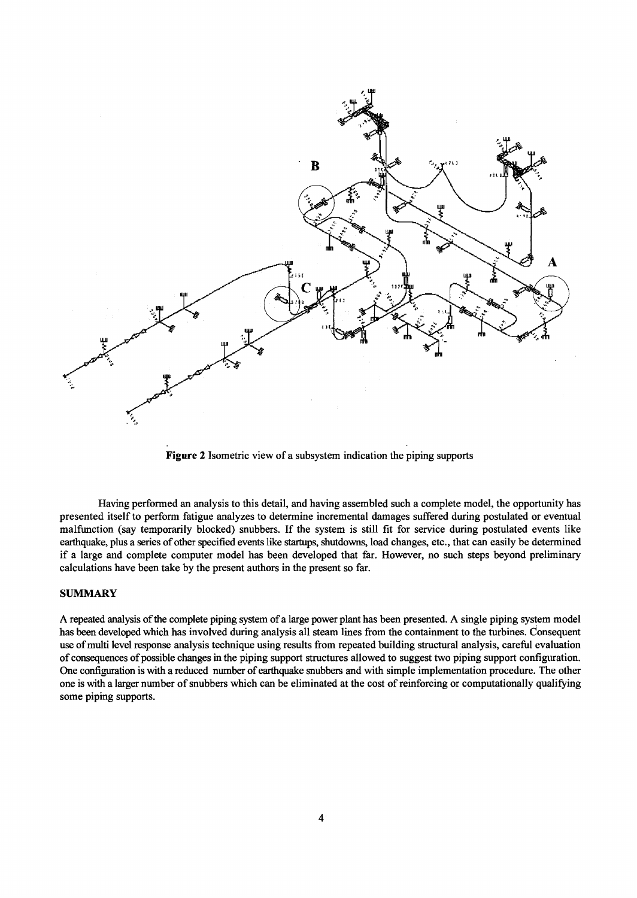

Figure 2 Isometric view of a subsystem indication the piping supports

Having performed an analysis to this detail, and having assembled such a complete model, the opportunity has presented itself to perform fatigue analyzes to determine incremental damages suffered during postulated or eventual malfunction (say temporarily blocked) snubbers. If the system is still fit for service during postulated events like earthquake, plus a series of other specified events like startups, shutdowns, load changes, etc., that can easily be determined if a large and complete computer model has been developed that far. However, no such steps beyond preliminary calculations have been take by the present authors in the present so far.

# **SUMMARY**

A repeated analysis of the complete piping system of a large power plant has been presented. A single piping system model has been developed which has involved during analysis all steam lines from the containment to the turbines. Consequent use of multi level response analysis technique using results from repeated building structural analysis, careful evaluation of consequences of possible changes in the piping support structures allowed to suggest two piping support configuration. One configuration is with a reduced number of earthquake snubbers and with simple implementation procedure. The other one is with a larger number of snubbers which can be eliminated at the cost of reinforcing or computationally qualifying some piping supports.